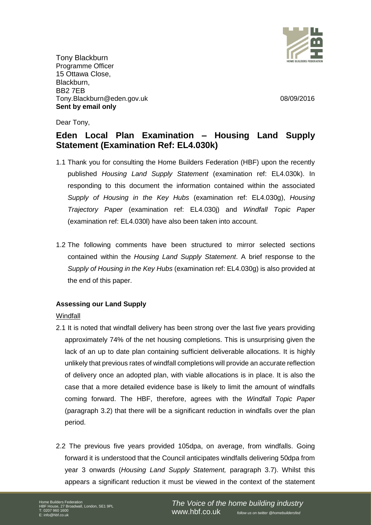

Tony Blackburn Programme Officer 15 Ottawa Close, Blackburn, BB2 7EB Tony.Blackburn@eden.gov.uk 08/09/2016 **Sent by email only**

Dear Tony,

# **Eden Local Plan Examination – Housing Land Supply Statement (Examination Ref: EL4.030k)**

- 1.1 Thank you for consulting the Home Builders Federation (HBF) upon the recently published *Housing Land Supply Statement* (examination ref: EL4.030k). In responding to this document the information contained within the associated *Supply of Housing in the Key Hubs* (examination ref: EL4.030g), *Housing Trajectory Paper* (examination ref: EL4.030j) and *Windfall Topic Paper*  (examination ref: EL4.030l) have also been taken into account.
- 1.2 The following comments have been structured to mirror selected sections contained within the *Housing Land Supply Statement*. A brief response to the *Supply of Housing in the Key Hubs* (examination ref: EL4.030g) is also provided at the end of this paper.

# **Assessing our Land Supply**

Windfall

- 2.1 It is noted that windfall delivery has been strong over the last five years providing approximately 74% of the net housing completions. This is unsurprising given the lack of an up to date plan containing sufficient deliverable allocations. It is highly unlikely that previous rates of windfall completions will provide an accurate reflection of delivery once an adopted plan, with viable allocations is in place. It is also the case that a more detailed evidence base is likely to limit the amount of windfalls coming forward. The HBF, therefore, agrees with the *Windfall Topic Paper*  (paragraph 3.2) that there will be a significant reduction in windfalls over the plan period.
- 2.2 The previous five years provided 105dpa, on average, from windfalls. Going forward it is understood that the Council anticipates windfalls delivering 50dpa from year 3 onwards (*Housing Land Supply Statement,* paragraph 3.7). Whilst this appears a significant reduction it must be viewed in the context of the statement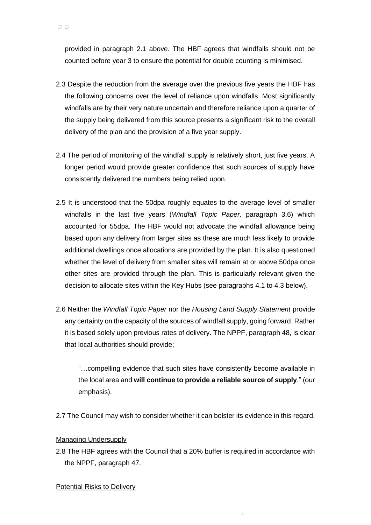provided in paragraph 2.1 above. The HBF agrees that windfalls should not be counted before year 3 to ensure the potential for double counting is minimised.

- 2.3 Despite the reduction from the average over the previous five years the HBF has the following concerns over the level of reliance upon windfalls. Most significantly windfalls are by their very nature uncertain and therefore reliance upon a quarter of the supply being delivered from this source presents a significant risk to the overall delivery of the plan and the provision of a five year supply.
- 2.4 The period of monitoring of the windfall supply is relatively short, just five years. A longer period would provide greater confidence that such sources of supply have consistently delivered the numbers being relied upon.
- 2.5 It is understood that the 50dpa roughly equates to the average level of smaller windfalls in the last five years (*Windfall Topic Paper,* paragraph 3.6) which accounted for 55dpa. The HBF would not advocate the windfall allowance being based upon any delivery from larger sites as these are much less likely to provide additional dwellings once allocations are provided by the plan. It is also questioned whether the level of delivery from smaller sites will remain at or above 50dpa once other sites are provided through the plan. This is particularly relevant given the decision to allocate sites within the Key Hubs (see paragraphs 4.1 to 4.3 below).
- 2.6 Neither the *Windfall Topic Paper* nor the *Housing Land Supply Statement* provide any certainty on the capacity of the sources of windfall supply, going forward. Rather it is based solely upon previous rates of delivery. The NPPF, paragraph 48, is clear that local authorities should provide;

"…compelling evidence that such sites have consistently become available in the local area and **will continue to provide a reliable source of supply**." (our emphasis).

2.7 The Council may wish to consider whether it can bolster its evidence in this regard.

# Managing Undersupply

2.8 The HBF agrees with the Council that a 20% buffer is required in accordance with the NPPF, paragraph 47.

### Potential Risks to Delivery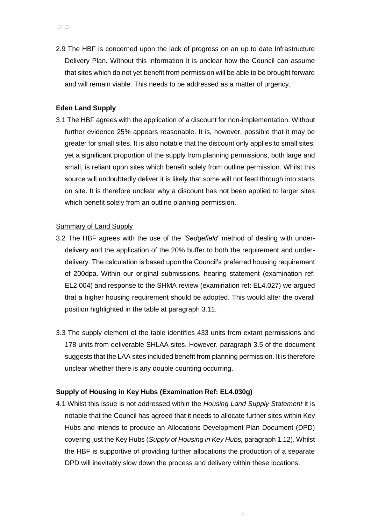2.9 The HBF is concerned upon the lack of progress on an up to date Infrastructure Delivery Plan. Without this information it is unclear how the Council can assume that sites which do not yet benefit from permission will be able to be brought forward and will remain viable. This needs to be addressed as a matter of urgency.

## **Eden Land Supply**

3.1 The HBF agrees with the application of a discount for non-implementation. Without further evidence 25% appears reasonable. It is, however, possible that it may be greater for small sites. It is also notable that the discount only applies to small sites, yet a significant proportion of the supply from planning permissions, both large and small, is reliant upon sites which benefit solely from outline permission. Whilst this source will undoubtedly deliver it is likely that some will not feed through into starts on site. It is therefore unclear why a discount has not been applied to larger sites which benefit solely from an outline planning permission.

## Summary of Land Supply

- 3.2 The HBF agrees with the use of the *'Sedgefield'* method of dealing with underdelivery and the application of the 20% buffer to both the requirement and underdelivery. The calculation is based upon the Council's preferred housing requirement of 200dpa. Within our original submissions, hearing statement (examination ref: EL2.004) and response to the SHMA review (examination ref: EL4.027) we argued that a higher housing requirement should be adopted. This would alter the overall position highlighted in the table at paragraph 3.11.
- 3.3 The supply element of the table identifies 433 units from extant permissions and 178 units from deliverable SHLAA sites. However, paragraph 3.5 of the document suggests that the LAA sites included benefit from planning permission. It is therefore unclear whether there is any double counting occurring.

### **Supply of Housing in Key Hubs (Examination Ref: EL4.030g)**

4.1 Whilst this issue is not addressed within the *Housing Land Supply Statement* it is notable that the Council has agreed that it needs to allocate further sites within Key Hubs and intends to produce an Allocations Development Plan Document (DPD) covering just the Key Hubs (*Supply of Housing in Key Hubs,* paragraph 1.12). Whilst the HBF is supportive of providing further allocations the production of a separate DPD will inevitably slow down the process and delivery within these locations.